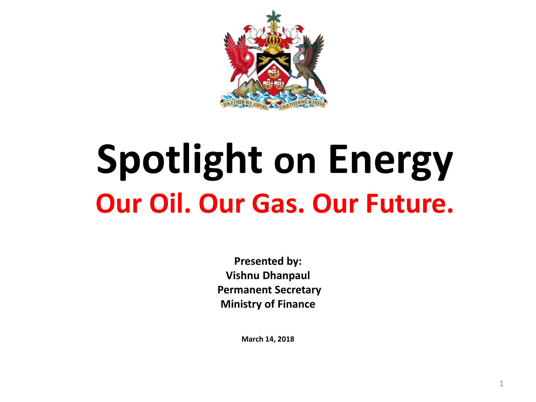

# **Spotlight on Energy Our Oil. Our Gas. Our Future.**

**Presented by: Vishnu Dhanpaul Permanent Secretary Ministry of Finance**

**March 14, 2018**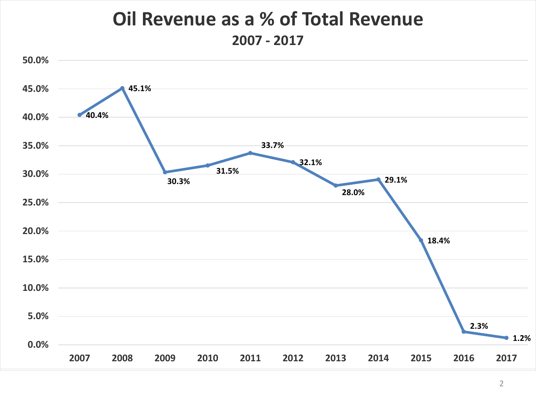### **Oil Revenue as a % of Total Revenue 2007 - 2017 2007 - 2017**

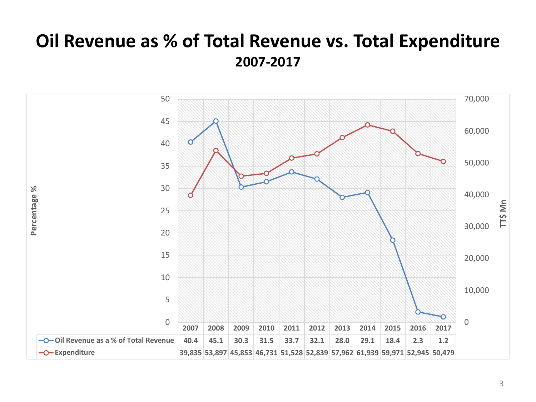#### **Oil Revenue as % of Total Revenue vs. Total Expenditure 2007-2017**

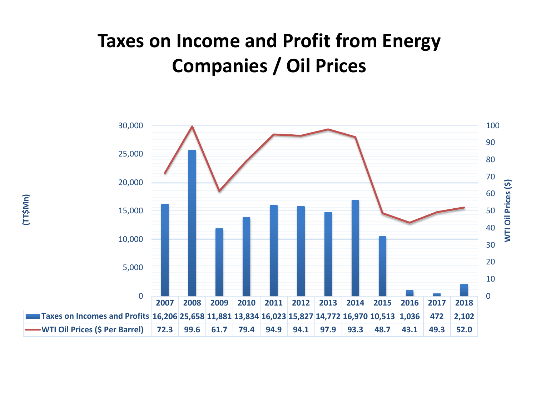### **Taxes on Income and Profit from Energy Companies / Oil Prices**

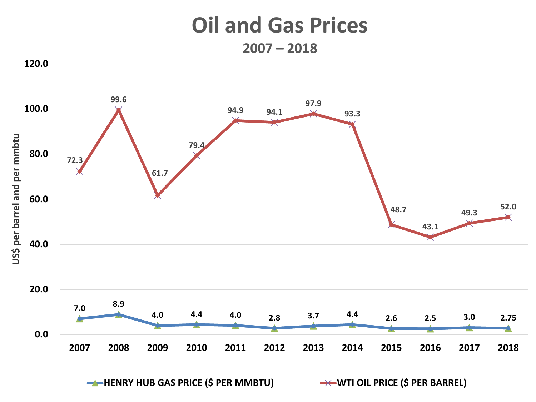#### **Oil and Gas Prices**  $2007 - 2019$ **Oil and Gas Prices**

**2007 – 2018** 



**HENRY HUB GAS PRICE (\$ PER MMBTU)**  $\rightarrow$  WTI OIL PRICE (\$ PER BARREL)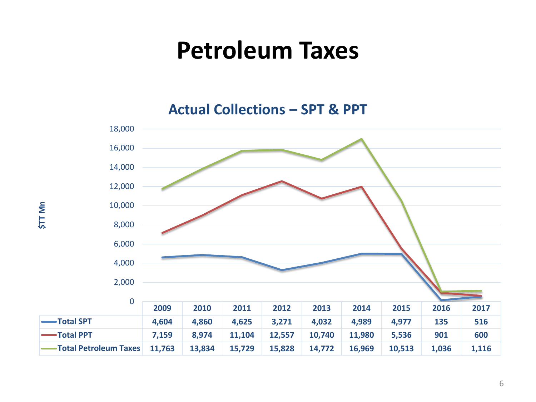## **Petroleum Taxes**

**Actual Collections – SPT & PPT**

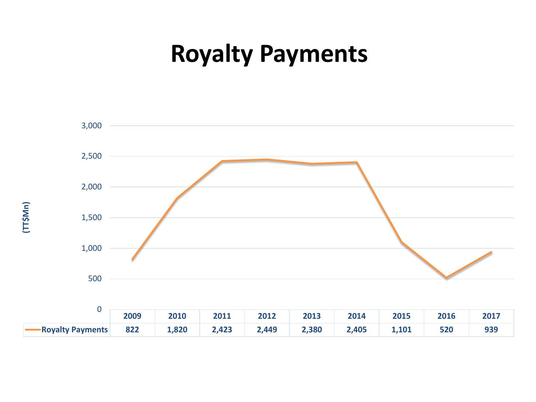# **Royalty Payments**



**(TT\$Mn)**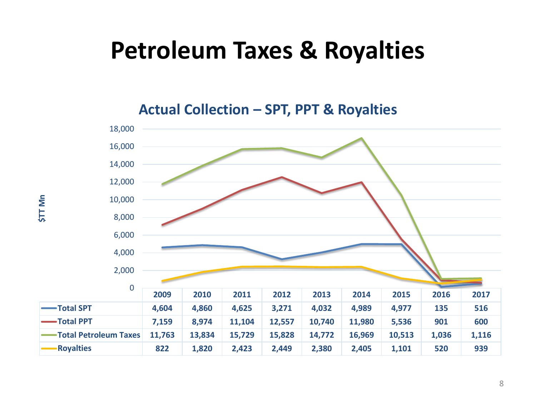## **Petroleum Taxes & Royalties**

**Actual Collection – SPT, PPT & Royalties**



8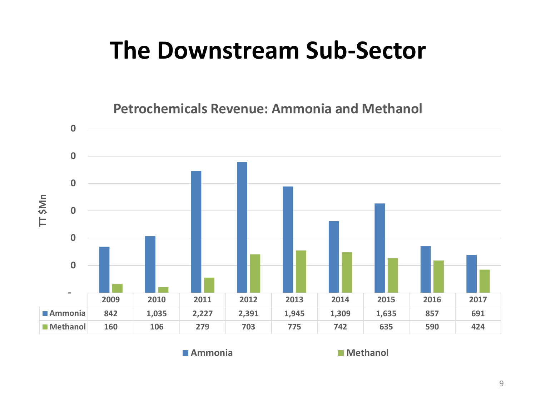# **The Downstream Sub-Sector**

**Petrochemicals Revenue: Ammonia and Methanol**



**Ammonia Methanol**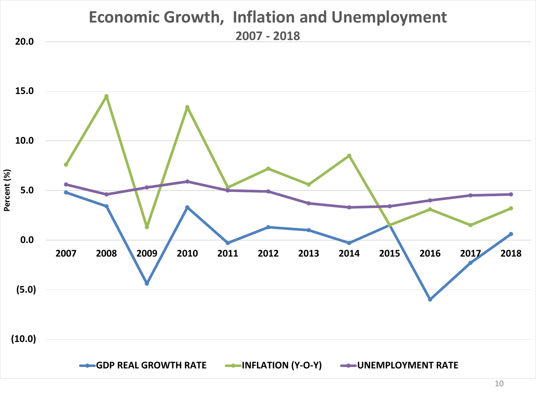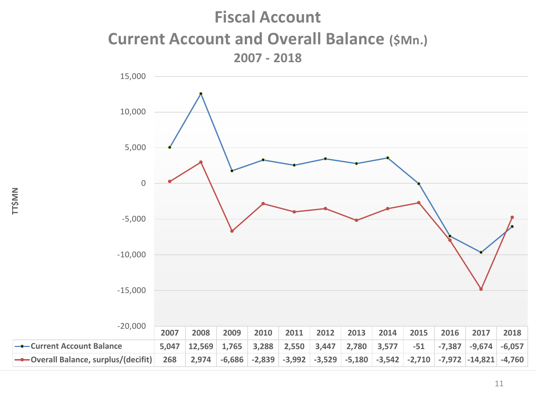#### **Fiscal Account 2007 - 2017 Current Account and Overall Balance (\$Mn.) 2007 - 2018**

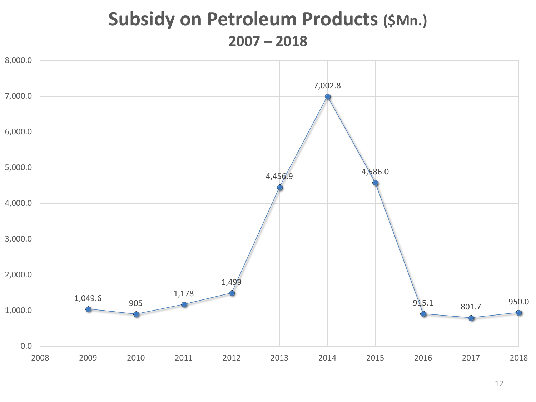#### **Subsidy on Petroleum Products (\$Mn.) 2007 – 2018**

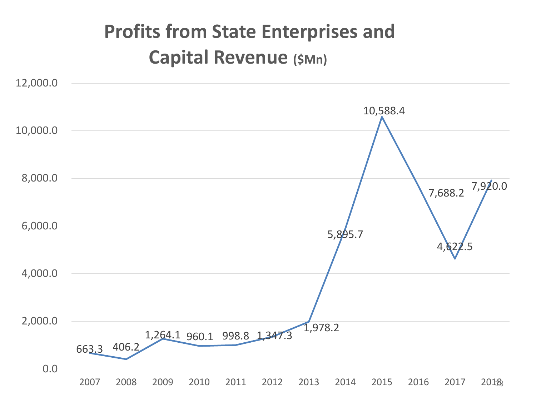### **Profits from State Enterprises and Capital Revenue (\$Mn)**

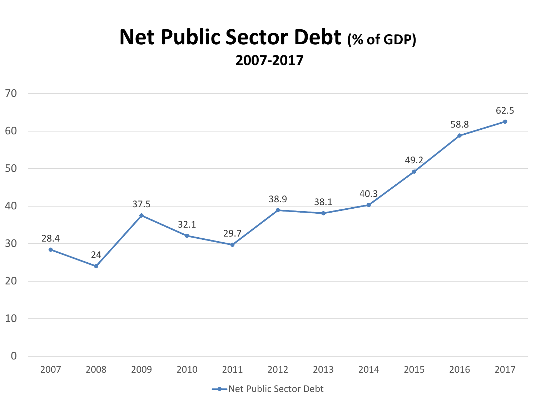### **Net Public Sector Debt (% of GDP) 2007-2017**

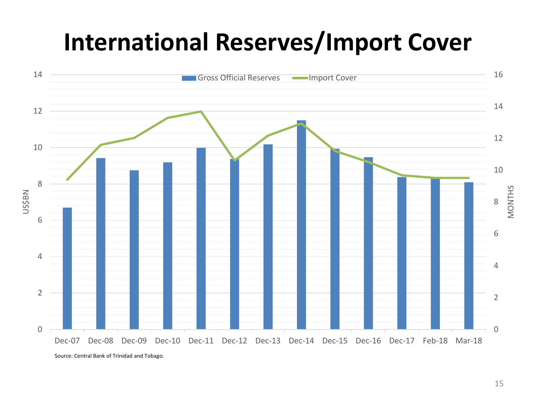# **International Reserves/Import Cover**

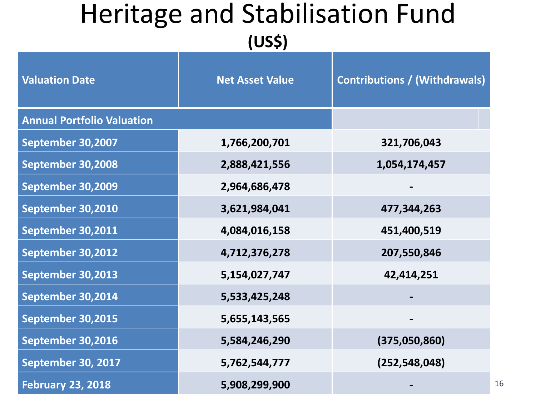### Heritage and Stabilisation Fund **(US\$)**

| <b>Valuation Date</b>             | <b>Net Asset Value</b> | <b>Contributions / (Withdrawals)</b> |
|-----------------------------------|------------------------|--------------------------------------|
| <b>Annual Portfolio Valuation</b> |                        |                                      |
| September 30,2007                 | 1,766,200,701          | 321,706,043                          |
| September 30,2008                 | 2,888,421,556          | 1,054,174,457                        |
| September 30,2009                 | 2,964,686,478          |                                      |
| September 30,2010                 | 3,621,984,041          | 477,344,263                          |
| September 30,2011                 | 4,084,016,158          | 451,400,519                          |
| September 30,2012                 | 4,712,376,278          | 207,550,846                          |
| September 30,2013                 | 5,154,027,747          | 42,414,251                           |
| September 30,2014                 | 5,533,425,248          |                                      |
| September 30,2015                 | 5,655,143,565          |                                      |
| September 30,2016                 | 5,584,246,290          | (375,050,860)                        |
| September 30, 2017                | 5,762,544,777          | (252, 548, 048)                      |
| <b>February 23, 2018</b>          | 5,908,299,900          |                                      |